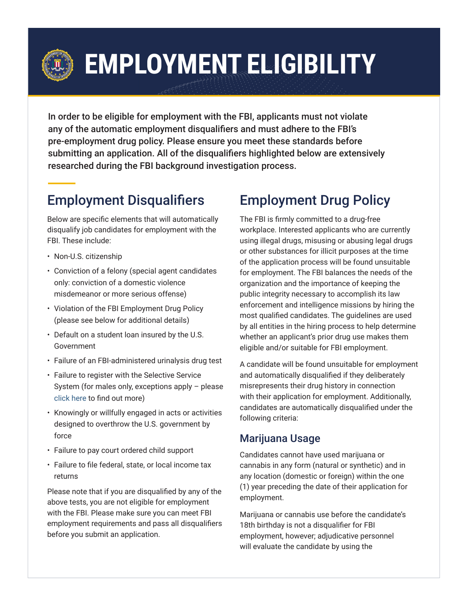

# **EMPLOYMENT ELIGIBILITY**

In order to be eligible for employment with the FBI, applicants must not violate any of the automatic employment disqualifiers and must adhere to the FBI's pre-employment drug policy. Please ensure you meet these standards before submitting an application. All of the disqualifiers highlighted below are extensively researched during the FBI background investigation process.

## Employment Disqualifiers

Below are specific elements that will automatically disqualify job candidates for employment with the FBI. These include:

- Non-U.S. citizenship
- Conviction of a felony (special agent candidates only: conviction of a domestic violence misdemeanor or more serious offense)
- Violation of the FBI Employment Drug Policy (please see below for additional details)
- Default on a student loan insured by the U.S. **Government**
- Failure of an FBI-administered urinalysis drug test
- Failure to register with the Selective Service System (for males only, exceptions apply – please [click here](https://www.sss.gov/register/) to find out more)
- Knowingly or willfully engaged in acts or activities designed to overthrow the U.S. government by force
- Failure to pay court ordered child support
- Failure to file federal, state, or local income tax returns

Please note that if you are disqualified by any of the above tests, you are not eligible for employment with the FBI. Please make sure you can meet FBI employment requirements and pass all disqualifiers before you submit an application.

# Employment Drug Policy

The FBI is firmly committed to a drug-free workplace. Interested applicants who are currently using illegal drugs, misusing or abusing legal drugs or other substances for illicit purposes at the time of the application process will be found unsuitable for employment. The FBI balances the needs of the organization and the importance of keeping the public integrity necessary to accomplish its law enforcement and intelligence missions by hiring the most qualified candidates. The guidelines are used by all entities in the hiring process to help determine whether an applicant's prior drug use makes them eligible and/or suitable for FBI employment.

A candidate will be found unsuitable for employment and automatically disqualified if they deliberately misrepresents their drug history in connection with their application for employment. Additionally, candidates are automatically disqualified under the following criteria:

### Marijuana Usage

Candidates cannot have used marijuana or cannabis in any form (natural or synthetic) and in any location (domestic or foreign) within the one (1) year preceding the date of their application for employment.

Marijuana or cannabis use before the candidate's 18th birthday is not a disqualifier for FBI employment, however; adjudicative personnel will evaluate the candidate by using the